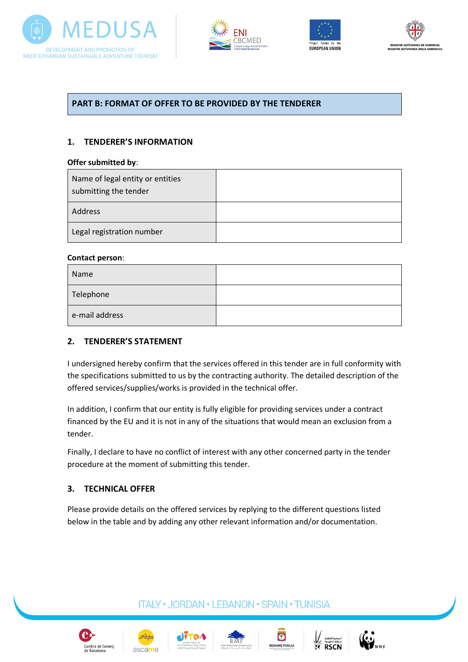







## **PART B: FORMAT OF OFFER TO BE PROVIDED BY THE TENDERER**

## **1. TENDERER'S INFORMATION**

#### **Offer submitted by**:

| Name of legal entity or entities<br>submitting the tender |  |
|-----------------------------------------------------------|--|
| <b>Address</b>                                            |  |
| Legal registration number                                 |  |

#### **Contact person**:

| Name           |  |
|----------------|--|
| Telephone      |  |
| e-mail address |  |

#### **2. TENDERER'S STATEMENT**

I undersigned hereby confirm that the services offered in this tender are in full conformity with the specifications submitted to us by the contracting authority. The detailed description of the offered services/supplies/works is provided in the technical offer.

In addition, I confirm that our entity is fully eligible for providing services under a contract financed by the EU and it is not in any of the situations that would mean an exclusion from a tender.

Finally, I declare to have no conflict of interest with any other concerned party in the tender procedure at the moment of submitting this tender.

## **3. TECHNICAL OFFER**

Please provide details on the offered services by replying to the different questions listed below in the table and by adding any other relevant information and/or documentation.

**ITALY · JORDAN · LEBANON · SPAIN · TUNISIA** 











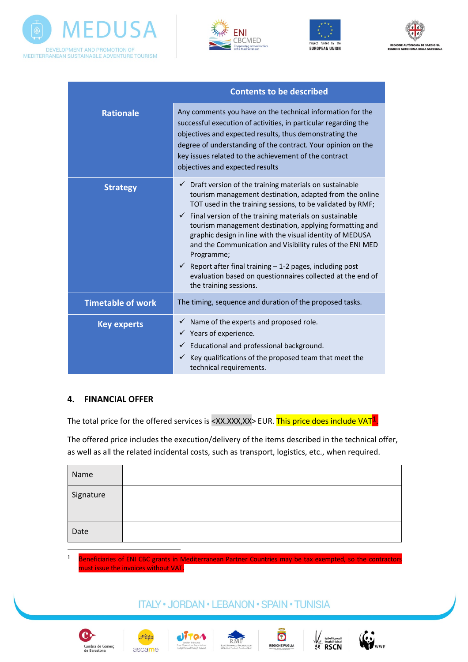







|                          | <b>Contents to be described</b>                                                                                                                                                                                                                                                                                                                                                                                                                                                                                                                                                                                                        |
|--------------------------|----------------------------------------------------------------------------------------------------------------------------------------------------------------------------------------------------------------------------------------------------------------------------------------------------------------------------------------------------------------------------------------------------------------------------------------------------------------------------------------------------------------------------------------------------------------------------------------------------------------------------------------|
| <b>Rationale</b>         | Any comments you have on the technical information for the<br>successful execution of activities, in particular regarding the<br>objectives and expected results, thus demonstrating the<br>degree of understanding of the contract. Your opinion on the<br>key issues related to the achievement of the contract<br>objectives and expected results                                                                                                                                                                                                                                                                                   |
| <b>Strategy</b>          | $\checkmark$ Draft version of the training materials on sustainable<br>tourism management destination, adapted from the online<br>TOT used in the training sessions, to be validated by RMF;<br>$\checkmark$ Final version of the training materials on sustainable<br>tourism management destination, applying formatting and<br>graphic design in line with the visual identity of MEDUSA<br>and the Communication and Visibility rules of the ENI MED<br>Programme;<br>$\checkmark$ Report after final training - 1-2 pages, including post<br>evaluation based on questionnaires collected at the end of<br>the training sessions. |
| <b>Timetable of work</b> | The timing, sequence and duration of the proposed tasks.                                                                                                                                                                                                                                                                                                                                                                                                                                                                                                                                                                               |
| <b>Key experts</b>       | $\checkmark$ Name of the experts and proposed role.<br>$\checkmark$ Years of experience.<br>Educational and professional background.<br>Key qualifications of the proposed team that meet the<br>$\checkmark$<br>technical requirements.                                                                                                                                                                                                                                                                                                                                                                                               |

## **4. FINANCIAL OFFER**

The total price for the offered services is <XX.XXX,XX> EUR. This price does include VAT $<sup>1</sup>$ .</sup>

The offered price includes the execution/delivery of the items described in the technical offer, as well as all the related incidental costs, such as transport, logistics, etc., when required.

| Name      |  |
|-----------|--|
| Signature |  |
| Date      |  |

 $1$  Beneficiaries of ENI CBC grants in Mediterranean Partner Countries may be tax exempted, so the contractors must issue the invoices without VAT.

## **ITALY · JORDAN · LEBANON · SPAIN · TUNISIA**



 $\overline{a}$ 











**RSCN**